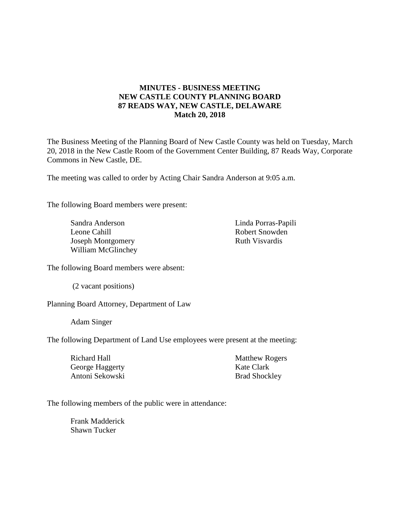# **MINUTES - BUSINESS MEETING NEW CASTLE COUNTY PLANNING BOARD 87 READS WAY, NEW CASTLE, DELAWARE Match 20, 2018**

The Business Meeting of the Planning Board of New Castle County was held on Tuesday, March 20, 2018 in the New Castle Room of the Government Center Building, 87 Reads Way, Corporate Commons in New Castle, DE.

The meeting was called to order by Acting Chair Sandra Anderson at 9:05 a.m.

The following Board members were present:

Sandra Anderson Leone Cahill Joseph Montgomery William McGlinchey Linda Porras-Papili Robert Snowden Ruth Visvardis

The following Board members were absent:

(2 vacant positions)

Planning Board Attorney, Department of Law

Adam Singer

The following Department of Land Use employees were present at the meeting:

| <b>Matthew Rogers</b> |
|-----------------------|
| Kate Clark            |
| <b>Brad Shockley</b>  |
|                       |

The following members of the public were in attendance:

Frank Madderick Shawn Tucker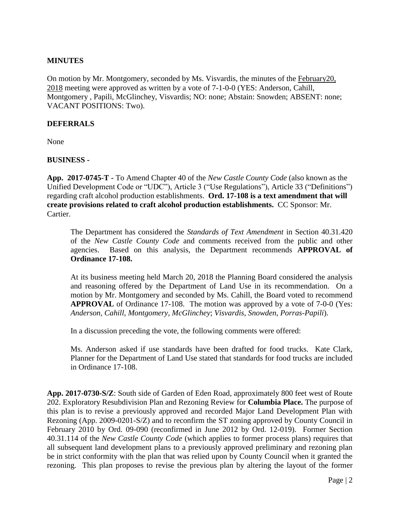### **MINUTES**

On motion by Mr. Montgomery, seconded by Ms. Visvardis, the minutes of the February20, 2018 meeting were approved as written by a vote of 7-1-0-0 (YES: Anderson, Cahill, Montgomery , Papili, McGlinchey, Visvardis; NO: none; Abstain: Snowden; ABSENT: none; VACANT POSITIONS: Two).

### **DEFERRALS**

None

### **BUSINESS -**

**App. 2017-0745-T -** To Amend Chapter 40 of the *New Castle County Code* (also known as the Unified Development Code or "UDC"), Article 3 ("Use Regulations"), Article 33 ("Definitions") regarding craft alcohol production establishments. **Ord. 17-108 is a text amendment that will create provisions related to craft alcohol production establishments.** CC Sponsor: Mr. Cartier.

The Department has considered the *Standards of Text Amendment* in Section 40.31.420 of the *New Castle County Code* and comments received from the public and other agencies. Based on this analysis, the Department recommends **APPROVAL of Ordinance 17-108.**

At its business meeting held March 20, 2018 the Planning Board considered the analysis and reasoning offered by the Department of Land Use in its recommendation. On a motion by Mr. Montgomery and seconded by Ms. Cahill, the Board voted to recommend **APPROVAL** of Ordinance 17-108. The motion was approved by a vote of 7-0-0 (Yes: *Anderson, Cahill, Montgomery, McGlinchey*; *Visvardis, Snowden, Porras-Papili*).

In a discussion preceding the vote, the following comments were offered:

Ms. Anderson asked if use standards have been drafted for food trucks. Kate Clark, Planner for the Department of Land Use stated that standards for food trucks are included in Ordinance 17-108.

**App. 2017-0730-S/Z**: South side of Garden of Eden Road, approximately 800 feet west of Route 202. Exploratory Resubdivision Plan and Rezoning Review for **Columbia Place.** The purpose of this plan is to revise a previously approved and recorded Major Land Development Plan with Rezoning (App. 2009-0201-S/Z) and to reconfirm the ST zoning approved by County Council in February 2010 by Ord. 09-090 (reconfirmed in June 2012 by Ord. 12-019). Former Section 40.31.114 of the *New Castle County Code* (which applies to former process plans) requires that all subsequent land development plans to a previously approved preliminary and rezoning plan be in strict conformity with the plan that was relied upon by County Council when it granted the rezoning. This plan proposes to revise the previous plan by altering the layout of the former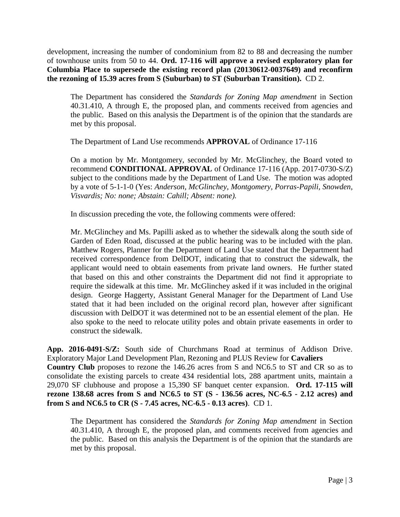development, increasing the number of condominium from 82 to 88 and decreasing the number of townhouse units from 50 to 44. **Ord. 17-116 will approve a revised exploratory plan for Columbia Place to supersede the existing record plan (20130612-0037649) and reconfirm the rezoning of 15.39 acres from S (Suburban) to ST (Suburban Transition).** CD 2.

The Department has considered the *Standards for Zoning Map amendment* in Section 40.31.410, A through E, the proposed plan, and comments received from agencies and the public. Based on this analysis the Department is of the opinion that the standards are met by this proposal.

The Department of Land Use recommends **APPROVAL** of Ordinance 17-116

On a motion by Mr. Montgomery, seconded by Mr. McGlinchey, the Board voted to recommend **CONDITIONAL APPROVAL** of Ordinance 17-116 (App. 2017-0730-S/Z) subject to the conditions made by the Department of Land Use. The motion was adopted by a vote of 5-1-1-0 (Yes: *Anderson, McGlinchey, Montgomery, Porras-Papili, Snowden, Visvardis; No: none; Abstain: Cahill; Absent: none).*

In discussion preceding the vote, the following comments were offered:

Mr. McGlinchey and Ms. Papilli asked as to whether the sidewalk along the south side of Garden of Eden Road, discussed at the public hearing was to be included with the plan. Matthew Rogers, Planner for the Department of Land Use stated that the Department had received correspondence from DelDOT, indicating that to construct the sidewalk, the applicant would need to obtain easements from private land owners. He further stated that based on this and other constraints the Department did not find it appropriate to require the sidewalk at this time. Mr. McGlinchey asked if it was included in the original design. George Haggerty, Assistant General Manager for the Department of Land Use stated that it had been included on the original record plan, however after significant discussion with DelDOT it was determined not to be an essential element of the plan. He also spoke to the need to relocate utility poles and obtain private easements in order to construct the sidewalk.

**App. 2016-0491-S/Z:** South side of Churchmans Road at terminus of Addison Drive. Exploratory Major Land Development Plan, Rezoning and PLUS Review for **Cavaliers Country Club** proposes to rezone the 146.26 acres from S and NC6.5 to ST and CR so as to consolidate the existing parcels to create 434 residential lots, 288 apartment units, maintain a 29,070 SF clubhouse and propose a 15,390 SF banquet center expansion. **Ord. 17-115 will rezone 138.68 acres from S and NC6.5 to ST (S - 136.56 acres, NC-6.5 - 2.12 acres) and from S and NC6.5 to CR (S - 7.45 acres, NC-6.5 - 0.13 acres)**. CD 1.

The Department has considered the *Standards for Zoning Map amendment* in Section 40.31.410, A through E, the proposed plan, and comments received from agencies and the public. Based on this analysis the Department is of the opinion that the standards are met by this proposal.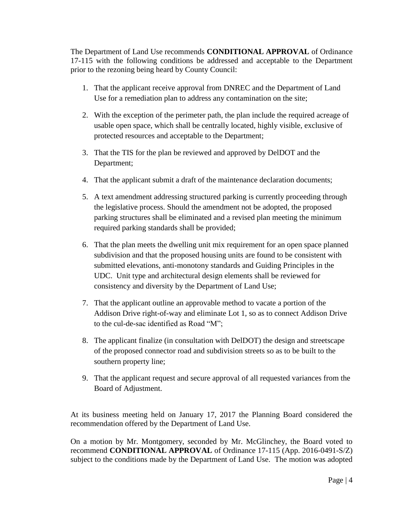The Department of Land Use recommends **CONDITIONAL APPROVAL** of Ordinance 17-115 with the following conditions be addressed and acceptable to the Department prior to the rezoning being heard by County Council:

- 1. That the applicant receive approval from DNREC and the Department of Land Use for a remediation plan to address any contamination on the site;
- 2. With the exception of the perimeter path, the plan include the required acreage of usable open space, which shall be centrally located, highly visible, exclusive of protected resources and acceptable to the Department;
- 3. That the TIS for the plan be reviewed and approved by DelDOT and the Department;
- 4. That the applicant submit a draft of the maintenance declaration documents;
- 5. A text amendment addressing structured parking is currently proceeding through the legislative process. Should the amendment not be adopted, the proposed parking structures shall be eliminated and a revised plan meeting the minimum required parking standards shall be provided;
- 6. That the plan meets the dwelling unit mix requirement for an open space planned subdivision and that the proposed housing units are found to be consistent with submitted elevations, anti-monotony standards and Guiding Principles in the UDC. Unit type and architectural design elements shall be reviewed for consistency and diversity by the Department of Land Use;
- 7. That the applicant outline an approvable method to vacate a portion of the Addison Drive right-of-way and eliminate Lot 1, so as to connect Addison Drive to the cul-de-sac identified as Road "M";
- 8. The applicant finalize (in consultation with DelDOT) the design and streetscape of the proposed connector road and subdivision streets so as to be built to the southern property line;
- 9. That the applicant request and secure approval of all requested variances from the Board of Adjustment.

At its business meeting held on January 17, 2017 the Planning Board considered the recommendation offered by the Department of Land Use.

On a motion by Mr. Montgomery, seconded by Mr. McGlinchey, the Board voted to recommend **CONDITIONAL APPROVAL** of Ordinance 17-115 (App. 2016-0491-S/Z) subject to the conditions made by the Department of Land Use. The motion was adopted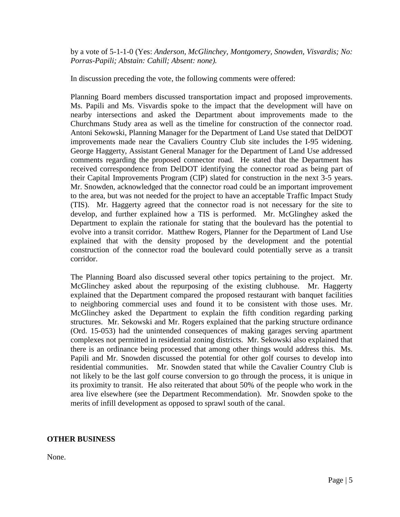by a vote of 5-1-1-0 (Yes: *Anderson, McGlinchey, Montgomery, Snowden, Visvardis; No: Porras-Papili; Abstain: Cahill; Absent: none).*

In discussion preceding the vote, the following comments were offered:

Planning Board members discussed transportation impact and proposed improvements. Ms. Papili and Ms. Visvardis spoke to the impact that the development will have on nearby intersections and asked the Department about improvements made to the Churchmans Study area as well as the timeline for construction of the connector road. Antoni Sekowski, Planning Manager for the Department of Land Use stated that DelDOT improvements made near the Cavaliers Country Club site includes the I-95 widening. George Haggerty, Assistant General Manager for the Department of Land Use addressed comments regarding the proposed connector road. He stated that the Department has received correspondence from DelDOT identifying the connector road as being part of their Capital Improvements Program (CIP) slated for construction in the next 3-5 years. Mr. Snowden, acknowledged that the connector road could be an important improvement to the area, but was not needed for the project to have an acceptable Traffic Impact Study (TIS). Mr. Haggerty agreed that the connector road is not necessary for the site to develop, and further explained how a TIS is performed. Mr. McGlinghey asked the Department to explain the rationale for stating that the boulevard has the potential to evolve into a transit corridor. Matthew Rogers, Planner for the Department of Land Use explained that with the density proposed by the development and the potential construction of the connector road the boulevard could potentially serve as a transit corridor.

The Planning Board also discussed several other topics pertaining to the project. Mr. McGlinchey asked about the repurposing of the existing clubhouse. Mr. Haggerty explained that the Department compared the proposed restaurant with banquet facilities to neighboring commercial uses and found it to be consistent with those uses. Mr. McGlinchey asked the Department to explain the fifth condition regarding parking structures. Mr. Sekowski and Mr. Rogers explained that the parking structure ordinance (Ord. 15-053) had the unintended consequences of making garages serving apartment complexes not permitted in residential zoning districts. Mr. Sekowski also explained that there is an ordinance being processed that among other things would address this. Ms. Papili and Mr. Snowden discussed the potential for other golf courses to develop into residential communities. Mr. Snowden stated that while the Cavalier Country Club is not likely to be the last golf course conversion to go through the process, it is unique in its proximity to transit. He also reiterated that about 50% of the people who work in the area live elsewhere (see the Department Recommendation). Mr. Snowden spoke to the merits of infill development as opposed to sprawl south of the canal.

### **OTHER BUSINESS**

None.